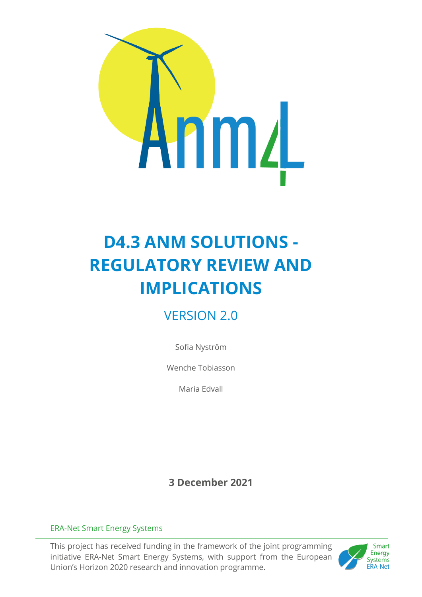

# **D4.3 ANM SOLUTIONS - REGULATORY REVIEW AND IMPLICATIONS**

# VERSION 2.0

Sofia Nyström

Wenche Tobiasson

Maria Edvall

**3 December 2021**

#### ERA-Net Smart Energy Systems

This project has received funding in the framework of the joint programming initiative ERA-Net Smart Energy Systems, with support from the European Union's Horizon 2020 research and innovation programme.

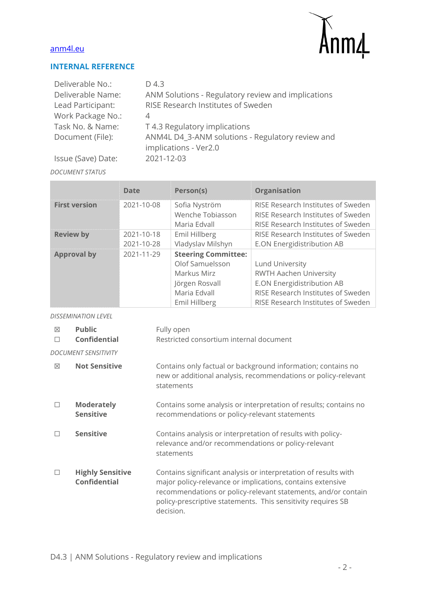

#### **INTERNAL REFERENCE**

| Deliverable No.:   | D 4.3                                              |
|--------------------|----------------------------------------------------|
| Deliverable Name:  | ANM Solutions - Regulatory review and implications |
| Lead Participant:  | RISE Research Institutes of Sweden                 |
| Work Package No.:  | 4                                                  |
| Task No. & Name:   | T 4.3 Regulatory implications                      |
| Document (File):   | ANM4L D4_3-ANM solutions - Regulatory review and   |
|                    | implications - Ver2.0                              |
| Issue (Save) Date: | 2021-12-03                                         |

#### *DOCUMENT STATUS*

|                      | <b>Date</b>              | Person(s)                                                                                                       | <b>Organisation</b>                                                                                                                                        |
|----------------------|--------------------------|-----------------------------------------------------------------------------------------------------------------|------------------------------------------------------------------------------------------------------------------------------------------------------------|
| <b>First version</b> | 2021-10-08               | Sofia Nyström<br>Wenche Tobiasson<br>Maria Edvall                                                               | RISE Research Institutes of Sweden<br>RISE Research Institutes of Sweden<br>RISE Research Institutes of Sweden                                             |
| <b>Review by</b>     | 2021-10-18<br>2021-10-28 | Emil Hillberg<br>Vladyslav Milshyn                                                                              | RISE Research Institutes of Sweden<br>E.ON Energidistribution AB                                                                                           |
| <b>Approval by</b>   | 2021-11-29               | <b>Steering Committee:</b><br>Olof Samuelsson<br>Markus Mirz<br>Jörgen Rosvall<br>Maria Edvall<br>Emil Hillberg | Lund University<br><b>RWTH Aachen University</b><br>E.ON Energidistribution AB<br>RISE Research Institutes of Sweden<br>RISE Research Institutes of Sweden |

*DISSEMINATION LEVEL*

| 冈<br>П | <b>Public</b><br>Confidential                  | Fully open<br>Restricted consortium internal document                                                                                                                                                                                                                       |
|--------|------------------------------------------------|-----------------------------------------------------------------------------------------------------------------------------------------------------------------------------------------------------------------------------------------------------------------------------|
|        | <b>DOCUMENT SENSITIVITY</b>                    |                                                                                                                                                                                                                                                                             |
| ⊠      | <b>Not Sensitive</b>                           | Contains only factual or background information; contains no<br>new or additional analysis, recommendations or policy-relevant<br>statements                                                                                                                                |
|        | <b>Moderately</b><br><b>Sensitive</b>          | Contains some analysis or interpretation of results; contains no<br>recommendations or policy-relevant statements                                                                                                                                                           |
|        | <b>Sensitive</b>                               | Contains analysis or interpretation of results with policy-<br>relevance and/or recommendations or policy-relevant<br>statements                                                                                                                                            |
|        | <b>Highly Sensitive</b><br><b>Confidential</b> | Contains significant analysis or interpretation of results with<br>major policy-relevance or implications, contains extensive<br>recommendations or policy-relevant statements, and/or contain<br>policy-prescriptive statements. This sensitivity requires SB<br>decision. |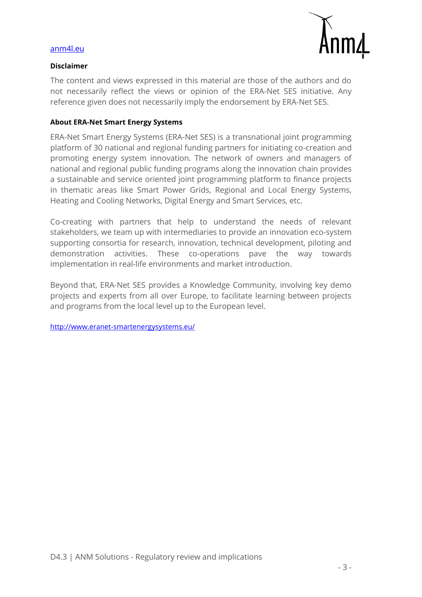

#### **Disclaimer**

The content and views expressed in this material are those of the authors and do not necessarily reflect the views or opinion of the ERA-Net SES initiative. Any reference given does not necessarily imply the endorsement by ERA-Net SES.

#### **About ERA-Net Smart Energy Systems**

ERA-Net Smart Energy Systems (ERA-Net SES) is a transnational joint programming platform of 30 national and regional funding partners for initiating co-creation and promoting energy system innovation. The network of owners and managers of national and regional public funding programs along the innovation chain provides a sustainable and service oriented joint programming platform to finance projects in thematic areas like Smart Power Grids, Regional and Local Energy Systems, Heating and Cooling Networks, Digital Energy and Smart Services, etc.

Co-creating with partners that help to understand the needs of relevant stakeholders, we team up with intermediaries to provide an innovation eco-system supporting consortia for research, innovation, technical development, piloting and demonstration activities. These co-operations pave the way towards implementation in real-life environments and market introduction.

Beyond that, ERA-Net SES provides a Knowledge Community, involving key demo projects and experts from all over Europe, to facilitate learning between projects and programs from the local level up to the European level.

<http://www.eranet-smartenergysystems.eu/>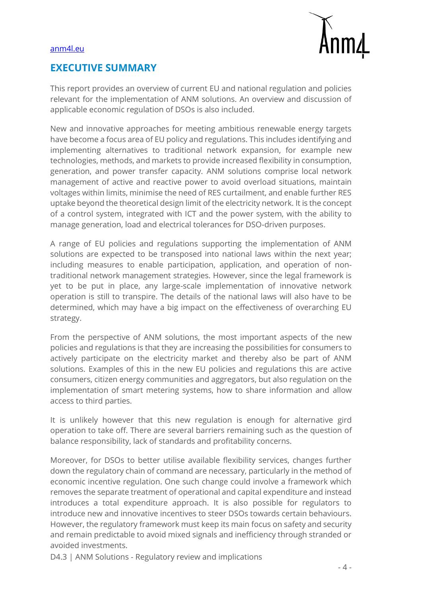

## **EXECUTIVE SUMMARY**

This report provides an overview of current EU and national regulation and policies relevant for the implementation of ANM solutions. An overview and discussion of applicable economic regulation of DSOs is also included.

New and innovative approaches for meeting ambitious renewable energy targets have become a focus area of EU policy and regulations. This includes identifying and implementing alternatives to traditional network expansion, for example new technologies, methods, and markets to provide increased flexibility in consumption, generation, and power transfer capacity. ANM solutions comprise local network management of active and reactive power to avoid overload situations, maintain voltages within limits, minimise the need of RES curtailment, and enable further RES uptake beyond the theoretical design limit of the electricity network. It is the concept of a control system, integrated with ICT and the power system, with the ability to manage generation, load and electrical tolerances for DSO-driven purposes.

A range of EU policies and regulations supporting the implementation of ANM solutions are expected to be transposed into national laws within the next year; including measures to enable participation, application, and operation of nontraditional network management strategies. However, since the legal framework is yet to be put in place, any large-scale implementation of innovative network operation is still to transpire. The details of the national laws will also have to be determined, which may have a big impact on the effectiveness of overarching EU strategy.

From the perspective of ANM solutions, the most important aspects of the new policies and regulations is that they are increasing the possibilities for consumers to actively participate on the electricity market and thereby also be part of ANM solutions. Examples of this in the new EU policies and regulations this are active consumers, citizen energy communities and aggregators, but also regulation on the implementation of smart metering systems, how to share information and allow access to third parties.

It is unlikely however that this new regulation is enough for alternative gird operation to take off. There are several barriers remaining such as the question of balance responsibility, lack of standards and profitability concerns.

Moreover, for DSOs to better utilise available flexibility services, changes further down the regulatory chain of command are necessary, particularly in the method of economic incentive regulation. One such change could involve a framework which removes the separate treatment of operational and capital expenditure and instead introduces a total expenditure approach. It is also possible for regulators to introduce new and innovative incentives to steer DSOs towards certain behaviours. However, the regulatory framework must keep its main focus on safety and security and remain predictable to avoid mixed signals and inefficiency through stranded or avoided investments.

D4.3 | ANM Solutions - Regulatory review and implications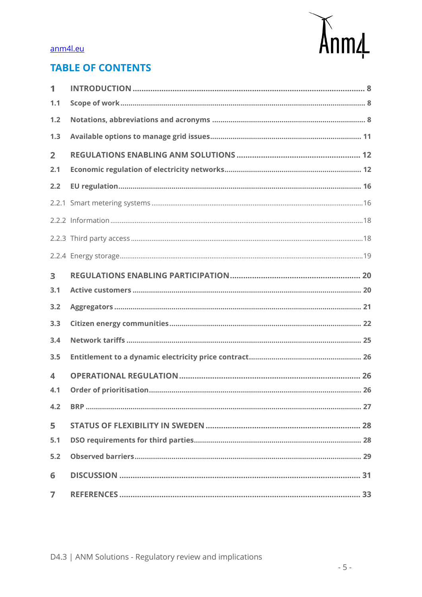

## **TABLE OF CONTENTS**

| 1                |  |
|------------------|--|
| 1.1              |  |
| 1.2              |  |
| 1.3              |  |
| $\overline{2}$   |  |
| 2.1              |  |
| 2.2              |  |
|                  |  |
|                  |  |
|                  |  |
|                  |  |
| 3                |  |
| 3.1              |  |
| 3.2              |  |
| 3.3              |  |
| 3.4              |  |
| 3.5              |  |
| $\blacktriangle$ |  |
| 4.1              |  |
| 4.2              |  |
| 5                |  |
| 5.1              |  |
| 5.2              |  |
| 6                |  |
| $\overline{7}$   |  |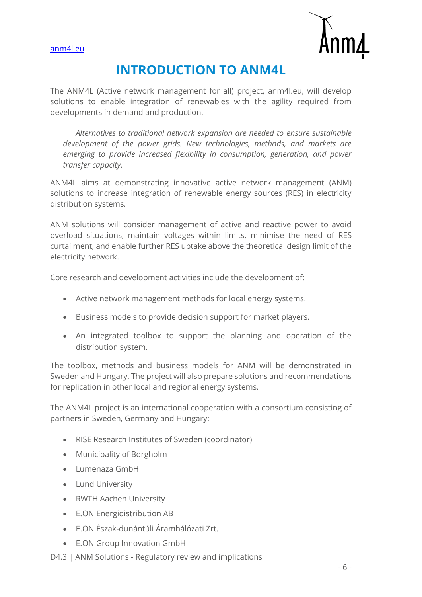

# **INTRODUCTION TO ANM4L**

The ANM4L (Active network management for all) project, anm4l.eu, will develop solutions to enable integration of renewables with the agility required from developments in demand and production.

*Alternatives to traditional network expansion are needed to ensure sustainable development of the power grids. New technologies, methods, and markets are emerging to provide increased flexibility in consumption, generation, and power transfer capacity.*

ANM4L aims at demonstrating innovative active network management (ANM) solutions to increase integration of renewable energy sources (RES) in electricity distribution systems.

ANM solutions will consider management of active and reactive power to avoid overload situations, maintain voltages within limits, minimise the need of RES curtailment, and enable further RES uptake above the theoretical design limit of the electricity network.

Core research and development activities include the development of:

- Active network management methods for local energy systems.
- Business models to provide decision support for market players.
- An integrated toolbox to support the planning and operation of the distribution system.

The toolbox, methods and business models for ANM will be demonstrated in Sweden and Hungary. The project will also prepare solutions and recommendations for replication in other local and regional energy systems.

The ANM4L project is an international cooperation with a consortium consisting of partners in Sweden, Germany and Hungary:

- RISE Research Institutes of Sweden (coordinator)
- Municipality of Borgholm
- Lumenaza GmbH
- Lund University
- RWTH Aachen University
- E.ON Energidistribution AB
- E.ON Észak-dunántúli Áramhálózati Zrt.
- E.ON Group Innovation GmbH
- D4.3 | ANM Solutions Regulatory review and implications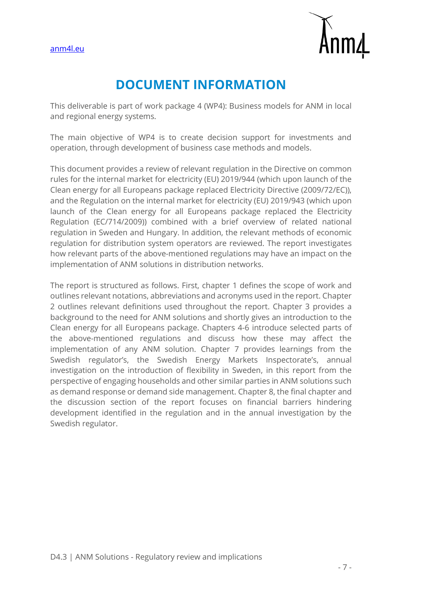

# **DOCUMENT INFORMATION**

This deliverable is part of work package 4 (WP4): Business models for ANM in local and regional energy systems.

The main objective of WP4 is to create decision support for investments and operation, through development of business case methods and models.

This document provides a review of relevant regulation in the Directive on common rules for the internal market for electricity (EU) 2019/944 (which upon launch of the Clean energy for all Europeans package replaced Electricity Directive (2009/72/EC)), and the Regulation on the internal market for electricity (EU) 2019/943 (which upon launch of the Clean energy for all Europeans package replaced the Electricity Regulation (EC/714/2009)) combined with a brief overview of related national regulation in Sweden and Hungary. In addition, the relevant methods of economic regulation for distribution system operators are reviewed. The report investigates how relevant parts of the above-mentioned regulations may have an impact on the implementation of ANM solutions in distribution networks.

The report is structured as follows. First, chapter 1 defines the scope of work and outlines relevant notations, abbreviations and acronyms used in the report. Chapter 2 outlines relevant definitions used throughout the report. Chapter 3 provides a background to the need for ANM solutions and shortly gives an introduction to the Clean energy for all Europeans package. Chapters 4-6 introduce selected parts of the above-mentioned regulations and discuss how these may affect the implementation of any ANM solution. Chapter 7 provides learnings from the Swedish regulator's, the Swedish Energy Markets Inspectorate's, annual investigation on the introduction of flexibility in Sweden, in this report from the perspective of engaging households and other similar parties in ANM solutions such as demand response or demand side management. Chapter 8, the final chapter and the discussion section of the report focuses on financial barriers hindering development identified in the regulation and in the annual investigation by the Swedish regulator.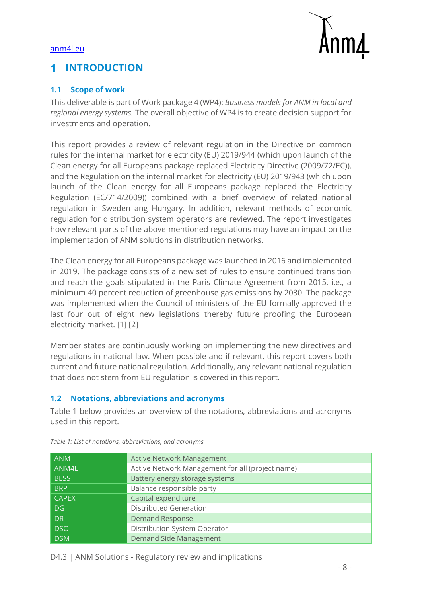

#### <span id="page-7-0"></span>**INTRODUCTION** 1

#### <span id="page-7-1"></span>**1.1 Scope of work**

This deliverable is part of Work package 4 (WP4): *Business models for ANM in local and regional energy systems.* The overall objective of WP4 is to create decision support for investments and operation.

This report provides a review of relevant regulation in the Directive on common rules for the internal market for electricity (EU) 2019/944 (which upon launch of the Clean energy for all Europeans package replaced Electricity Directive (2009/72/EC)), and the Regulation on the internal market for electricity (EU) 2019/943 (which upon launch of the Clean energy for all Europeans package replaced the Electricity Regulation (EC/714/2009)) combined with a brief overview of related national regulation in Sweden ang Hungary. In addition, relevant methods of economic regulation for distribution system operators are reviewed. The report investigates how relevant parts of the above-mentioned regulations may have an impact on the implementation of ANM solutions in distribution networks.

The Clean energy for all Europeans package was launched in 2016 and implemented in 2019. The package consists of a new set of rules to ensure continued transition and reach the goals stipulated in the Paris Climate Agreement from 2015, i.e., a minimum 40 percent reduction of greenhouse gas emissions by 2030. The package was implemented when the Council of ministers of the EU formally approved the last four out of eight new legislations thereby future proofing the European electricity market. [1] [2]

Member states are continuously working on implementing the new directives and regulations in national law. When possible and if relevant, this report covers both current and future national regulation. Additionally, any relevant national regulation that does not stem from EU regulation is covered in this report.

#### <span id="page-7-2"></span>**1.2 Notations, abbreviations and acronyms**

[Table 1](#page-7-3) below provides an overview of the notations, abbreviations and acronyms used in this report.

| <b>ANM</b>   | <b>Active Network Management</b>                 |
|--------------|--------------------------------------------------|
| ANM4L        | Active Network Management for all (project name) |
| <b>BESS</b>  | Battery energy storage systems                   |
| <b>BRP</b>   | Balance responsible party                        |
| <b>CAPEX</b> | Capital expenditure                              |
| DG.          | <b>Distributed Generation</b>                    |
| <b>DR</b>    | <b>Demand Response</b>                           |
| <b>DSO</b>   | Distribution System Operator                     |
| <b>DSM</b>   | Demand Side Management                           |

<span id="page-7-3"></span>*Table 1: List of notations, abbreviations, and acronyms*

D4.3 | ANM Solutions - Regulatory review and implications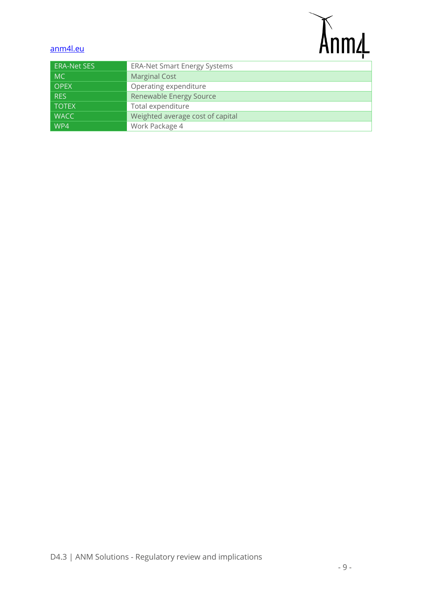# Anm4

## [anm4l.eu](https://risecloud-my.sharepoint.com/personal/emil_hillberg_ri_se/Documents/01%20Projekt/ANM4L%20Öland%20case%20-%20REGSYS%20-%20EON/ANM4L-RISE/ANM4L%20consortium%20folder/WP3%20-%20ANM%20-%20Lund/D3.1/anm4l.eu)

| <b>ERA-Net SES</b> | <b>ERA-Net Smart Energy Systems</b> |
|--------------------|-------------------------------------|
| MC                 | Marginal Cost                       |
| <b>OPEX</b>        | Operating expenditure               |
| <b>RES</b>         | Renewable Energy Source             |
| <b>TOTEX</b>       | Total expenditure                   |
| <b>WACC</b>        | Weighted average cost of capital    |
| WP4                | Work Package 4                      |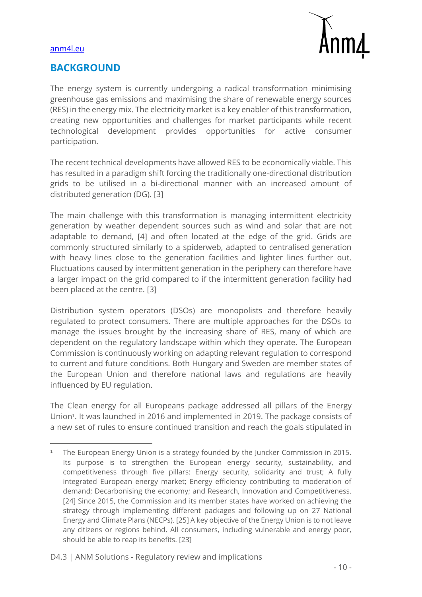

## **BACKGROUND**

The energy system is currently undergoing a radical transformation minimising greenhouse gas emissions and maximising the share of renewable energy sources (RES) in the energy mix. The electricity market is a key enabler of this transformation, creating new opportunities and challenges for market participants while recent technological development provides opportunities for active consumer participation.

The recent technical developments have allowed RES to be economically viable. This has resulted in a paradigm shift forcing the traditionally one-directional distribution grids to be utilised in a bi-directional manner with an increased amount of distributed generation (DG). [3]

The main challenge with this transformation is managing intermittent electricity generation by weather dependent sources such as wind and solar that are not adaptable to demand, [4] and often located at the edge of the grid. Grids are commonly structured similarly to a spiderweb, adapted to centralised generation with heavy lines close to the generation facilities and lighter lines further out. Fluctuations caused by intermittent generation in the periphery can therefore have a larger impact on the grid compared to if the intermittent generation facility had been placed at the centre. [3]

Distribution system operators (DSOs) are monopolists and therefore heavily regulated to protect consumers. There are multiple approaches for the DSOs to manage the issues brought by the increasing share of RES, many of which are dependent on the regulatory landscape within which they operate. The European Commission is continuously working on adapting relevant regulation to correspond to current and future conditions. Both Hungary and Sweden are member states of the European Union and therefore national laws and regulations are heavily influenced by EU regulation.

The Clean energy for all Europeans package addressed all pillars of the Energy Union<sup>1</sup>. It was launched in 2016 and implemented in 2019. The package consists of a new set of rules to ensure continued transition and reach the goals stipulated in

<sup>1</sup> The European Energy Union is a strategy founded by the Juncker Commission in 2015. Its purpose is to strengthen the European energy security, sustainability, and competitiveness through five pillars: Energy security, solidarity and trust; A fully integrated European energy market; Energy efficiency contributing to moderation of demand; Decarbonising the economy; and Research, Innovation and Competitiveness. [24] Since 2015, the Commission and its member states have worked on achieving the strategy through implementing different packages and following up on 27 National Energy and Climate Plans (NECPs). [25] A key objective of the Energy Union is to not leave any citizens or regions behind. All consumers, including vulnerable and energy poor, should be able to reap its benefits. [23]

D4.3 | ANM Solutions - Regulatory review and implications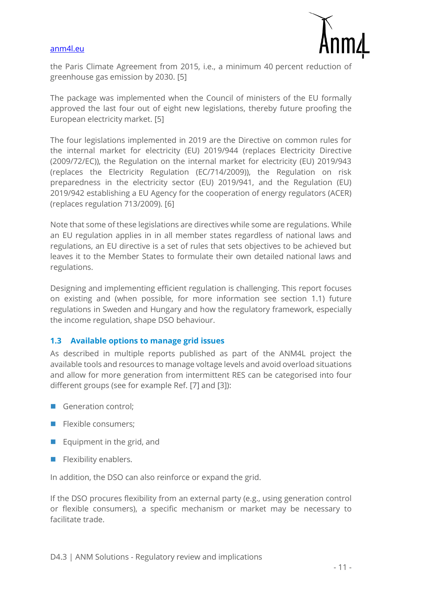

the Paris Climate Agreement from 2015, i.e., a minimum 40 percent reduction of greenhouse gas emission by 2030. [5]

The package was implemented when the Council of ministers of the EU formally approved the last four out of eight new legislations, thereby future proofing the European electricity market. [5]

The four legislations implemented in 2019 are the Directive on common rules for the internal market for electricity (EU) 2019/944 (replaces Electricity Directive (2009/72/EC)), the Regulation on the internal market for electricity (EU) 2019/943 (replaces the Electricity Regulation (EC/714/2009)), the Regulation on risk preparedness in the electricity sector (EU) 2019/941, and the Regulation (EU) 2019/942 establishing a EU Agency for the cooperation of energy regulators (ACER) (replaces regulation 713/2009). [6]

Note that some of these legislations are directives while some are regulations. While an EU regulation applies in in all member states regardless of national laws and regulations, an EU directive is a set of rules that sets objectives to be achieved but leaves it to the Member States to formulate their own detailed national laws and regulations.

Designing and implementing efficient regulation is challenging. This report focuses on existing and (when possible, for more information see section [1.1\)](#page-7-1) future regulations in Sweden and Hungary and how the regulatory framework, especially the income regulation, shape DSO behaviour.

#### <span id="page-10-0"></span>**1.3 Available options to manage grid issues**

As described in multiple reports published as part of the ANM4L project the available tools and resources to manage voltage levels and avoid overload situations and allow for more generation from intermittent RES can be categorised into four different groups (see for example Ref. [7] and [3]):

- Generation control;
- Flexible consumers:
- Equipment in the grid, and
- Flexibility enablers.

In addition, the DSO can also reinforce or expand the grid.

If the DSO procures flexibility from an external party (e.g., using generation control or flexible consumers), a specific mechanism or market may be necessary to facilitate trade.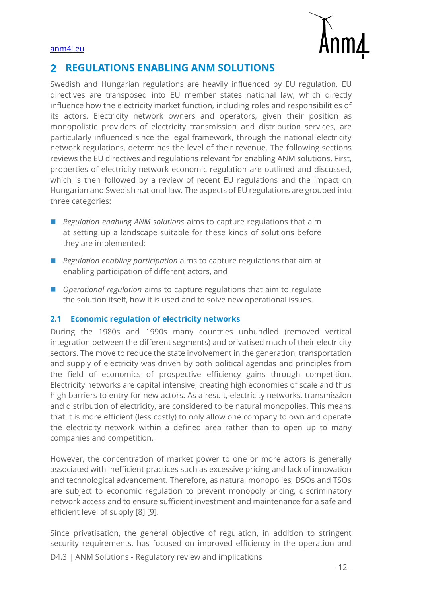



#### <span id="page-11-0"></span>**REGULATIONS ENABLING ANM SOLUTIONS**  $\overline{\mathbf{2}}$

Swedish and Hungarian regulations are heavily influenced by EU regulation. EU directives are transposed into EU member states national law, which directly influence how the electricity market function, including roles and responsibilities of its actors. Electricity network owners and operators, given their position as monopolistic providers of electricity transmission and distribution services, are particularly influenced since the legal framework, through the national electricity network regulations, determines the level of their revenue. The following sections reviews the EU directives and regulations relevant for enabling ANM solutions. First, properties of electricity network economic regulation are outlined and discussed, which is then followed by a review of recent EU regulations and the impact on Hungarian and Swedish national law. The aspects of EU regulations are grouped into three categories:

- *Regulation enabling ANM solutions* aims to capture regulations that aim at setting up a landscape suitable for these kinds of solutions before they are implemented;
- *Regulation enabling participation* aims to capture regulations that aim at enabling participation of different actors, and
- *Operational regulation* aims to capture regulations that aim to regulate the solution itself, how it is used and to solve new operational issues.

#### <span id="page-11-1"></span>**2.1 Economic regulation of electricity networks**

During the 1980s and 1990s many countries unbundled (removed vertical integration between the different segments) and privatised much of their electricity sectors. The move to reduce the state involvement in the generation, transportation and supply of electricity was driven by both political agendas and principles from the field of economics of prospective efficiency gains through competition. Electricity networks are capital intensive, creating high economies of scale and thus high barriers to entry for new actors. As a result, electricity networks, transmission and distribution of electricity, are considered to be natural monopolies. This means that it is more efficient (less costly) to only allow one company to own and operate the electricity network within a defined area rather than to open up to many companies and competition.

However, the concentration of market power to one or more actors is generally associated with inefficient practices such as excessive pricing and lack of innovation and technological advancement. Therefore, as natural monopolies, DSOs and TSOs are subject to economic regulation to prevent monopoly pricing, discriminatory network access and to ensure sufficient investment and maintenance for a safe and efficient level of supply [8] [9].

D4.3 | ANM Solutions - Regulatory review and implications Since privatisation, the general objective of regulation, in addition to stringent security requirements, has focused on improved efficiency in the operation and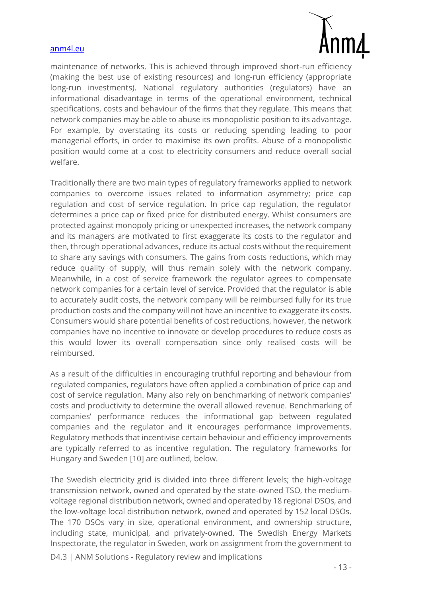

maintenance of networks. This is achieved through improved short-run efficiency (making the best use of existing resources) and long-run efficiency (appropriate long-run investments). National regulatory authorities (regulators) have an informational disadvantage in terms of the operational environment, technical specifications, costs and behaviour of the firms that they regulate. This means that network companies may be able to abuse its monopolistic position to its advantage. For example, by overstating its costs or reducing spending leading to poor managerial efforts, in order to maximise its own profits. Abuse of a monopolistic position would come at a cost to electricity consumers and reduce overall social welfare.

Traditionally there are two main types of regulatory frameworks applied to network companies to overcome issues related to information asymmetry; price cap regulation and cost of service regulation. In price cap regulation, the regulator determines a price cap or fixed price for distributed energy. Whilst consumers are protected against monopoly pricing or unexpected increases, the network company and its managers are motivated to first exaggerate its costs to the regulator and then, through operational advances, reduce its actual costs without the requirement to share any savings with consumers. The gains from costs reductions, which may reduce quality of supply, will thus remain solely with the network company. Meanwhile, in a cost of service framework the regulator agrees to compensate network companies for a certain level of service. Provided that the regulator is able to accurately audit costs, the network company will be reimbursed fully for its true production costs and the company will not have an incentive to exaggerate its costs. Consumers would share potential benefits of cost reductions, however, the network companies have no incentive to innovate or develop procedures to reduce costs as this would lower its overall compensation since only realised costs will be reimbursed.

As a result of the difficulties in encouraging truthful reporting and behaviour from regulated companies, regulators have often applied a combination of price cap and cost of service regulation. Many also rely on benchmarking of network companies' costs and productivity to determine the overall allowed revenue. Benchmarking of companies' performance reduces the informational gap between regulated companies and the regulator and it encourages performance improvements. Regulatory methods that incentivise certain behaviour and efficiency improvements are typically referred to as incentive regulation. The regulatory frameworks for Hungary and Sweden [10] are outlined, below.

The Swedish electricity grid is divided into three different levels; the high-voltage transmission network, owned and operated by the state-owned TSO, the mediumvoltage regional distribution network, owned and operated by 18 regional DSOs, and the low-voltage local distribution network, owned and operated by 152 local DSOs. The 170 DSOs vary in size, operational environment, and ownership structure, including state, municipal, and privately-owned. The Swedish Energy Markets Inspectorate, the regulator in Sweden, work on assignment from the government to

D4.3 | ANM Solutions - Regulatory review and implications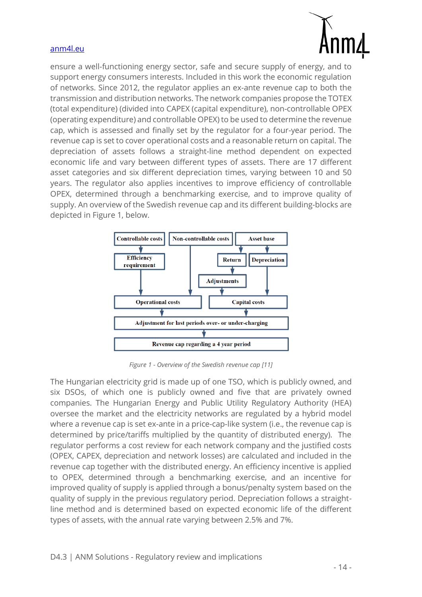

ensure a well-functioning energy sector, safe and secure supply of energy, and to support energy consumers interests. Included in this work the economic regulation of networks. Since 2012, the regulator applies an ex-ante revenue cap to both the transmission and distribution networks. The network companies propose the TOTEX (total expenditure) (divided into CAPEX (capital expenditure), non-controllable OPEX (operating expenditure) and controllable OPEX) to be used to determine the revenue cap, which is assessed and finally set by the regulator for a four-year period. The revenue cap is set to cover operational costs and a reasonable return on capital. The depreciation of assets follows a straight-line method dependent on expected economic life and vary between different types of assets. There are 17 different asset categories and six different depreciation times, varying between 10 and 50 years. The regulator also applies incentives to improve efficiency of controllable OPEX, determined through a benchmarking exercise, and to improve quality of supply. An overview of the Swedish revenue cap and its different building-blocks are depicted in [Figure 1,](#page-13-0) below.



*Figure 1 - Overview of the Swedish revenue cap [11]*

<span id="page-13-0"></span>The Hungarian electricity grid is made up of one TSO, which is publicly owned, and six DSOs, of which one is publicly owned and five that are privately owned companies. The Hungarian Energy and Public Utility Regulatory Authority (HEA) oversee the market and the electricity networks are regulated by a hybrid model where a revenue cap is set ex-ante in a price-cap-like system (i.e., the revenue cap is determined by price/tariffs multiplied by the quantity of distributed energy). The regulator performs a cost review for each network company and the justified costs (OPEX, CAPEX, depreciation and network losses) are calculated and included in the revenue cap together with the distributed energy. An efficiency incentive is applied to OPEX, determined through a benchmarking exercise, and an incentive for improved quality of supply is applied through a bonus/penalty system based on the quality of supply in the previous regulatory period. Depreciation follows a straightline method and is determined based on expected economic life of the different types of assets, with the annual rate varying between 2.5% and 7%.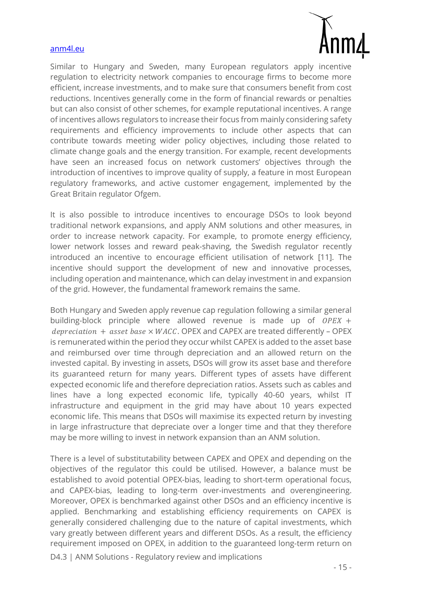

Similar to Hungary and Sweden, many European regulators apply incentive regulation to electricity network companies to encourage firms to become more efficient, increase investments, and to make sure that consumers benefit from cost reductions. Incentives generally come in the form of financial rewards or penalties but can also consist of other schemes, for example reputational incentives. A range of incentives allows regulators to increase their focus from mainly considering safety requirements and efficiency improvements to include other aspects that can contribute towards meeting wider policy objectives, including those related to climate change goals and the energy transition. For example, recent developments have seen an increased focus on network customers' objectives through the introduction of incentives to improve quality of supply, a feature in most European regulatory frameworks, and active customer engagement, implemented by the Great Britain regulator Ofgem.

It is also possible to introduce incentives to encourage DSOs to look beyond traditional network expansions, and apply ANM solutions and other measures, in order to increase network capacity. For example, to promote energy efficiency, lower network losses and reward peak-shaving, the Swedish regulator recently introduced an incentive to encourage efficient utilisation of network [11]. The incentive should support the development of new and innovative processes, including operation and maintenance, which can delay investment in and expansion of the grid. However, the fundamental framework remains the same.

Both Hungary and Sweden apply revenue cap regulation following a similar general building-block principle where allowed revenue is made up of  $OPEX +$  $depreciation + asset base \times WACC$ . OPEX and CAPEX are treated differently – OPEX is remunerated within the period they occur whilst CAPEX is added to the asset base and reimbursed over time through depreciation and an allowed return on the invested capital. By investing in assets, DSOs will grow its asset base and therefore its guaranteed return for many years. Different types of assets have different expected economic life and therefore depreciation ratios. Assets such as cables and lines have a long expected economic life, typically 40-60 years, whilst IT infrastructure and equipment in the grid may have about 10 years expected economic life. This means that DSOs will maximise its expected return by investing in large infrastructure that depreciate over a longer time and that they therefore may be more willing to invest in network expansion than an ANM solution.

There is a level of substitutability between CAPEX and OPEX and depending on the objectives of the regulator this could be utilised. However, a balance must be established to avoid potential OPEX-bias, leading to short-term operational focus, and CAPEX-bias, leading to long-term over-investments and overengineering. Moreover, OPEX is benchmarked against other DSOs and an efficiency incentive is applied. Benchmarking and establishing efficiency requirements on CAPEX is generally considered challenging due to the nature of capital investments, which vary greatly between different years and different DSOs. As a result, the efficiency requirement imposed on OPEX, in addition to the guaranteed long-term return on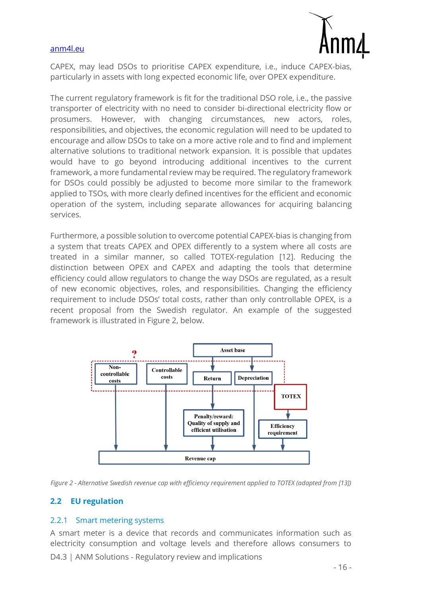

CAPEX, may lead DSOs to prioritise CAPEX expenditure, i.e., induce CAPEX-bias, particularly in assets with long expected economic life, over OPEX expenditure.

The current regulatory framework is fit for the traditional DSO role, i.e., the passive transporter of electricity with no need to consider bi-directional electricity flow or prosumers. However, with changing circumstances, new actors, roles, responsibilities, and objectives, the economic regulation will need to be updated to encourage and allow DSOs to take on a more active role and to find and implement alternative solutions to traditional network expansion. It is possible that updates would have to go beyond introducing additional incentives to the current framework, a more fundamental review may be required. The regulatory framework for DSOs could possibly be adjusted to become more similar to the framework applied to TSOs, with more clearly defined incentives for the efficient and economic operation of the system, including separate allowances for acquiring balancing services.

Furthermore, a possible solution to overcome potential CAPEX-bias is changing from a system that treats CAPEX and OPEX differently to a system where all costs are treated in a similar manner, so called TOTEX-regulation [12]. Reducing the distinction between OPEX and CAPEX and adapting the tools that determine efficiency could allow regulators to change the way DSOs are regulated, as a result of new economic objectives, roles, and responsibilities. Changing the efficiency requirement to include DSOs' total costs, rather than only controllable OPEX, is a recent proposal from the Swedish regulator. An example of the suggested framework is illustrated in [Figure 2,](#page-15-2) below.



<span id="page-15-2"></span>

#### <span id="page-15-0"></span>**2.2 EU regulation**

#### <span id="page-15-1"></span>2.2.1 Smart metering systems

D4.3 | ANM Solutions - Regulatory review and implications A smart meter is a device that records and communicates information such as electricity consumption and voltage levels and therefore allows consumers to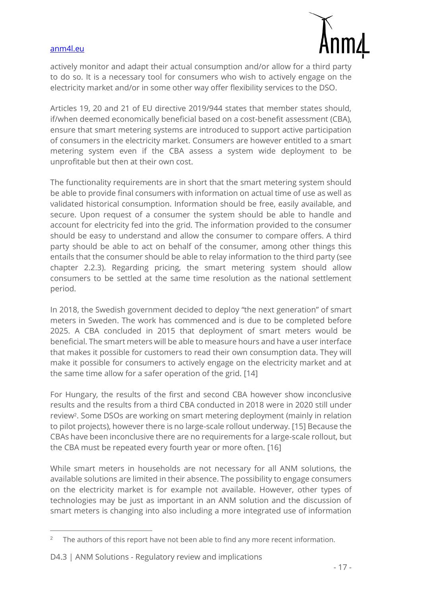

actively monitor and adapt their actual consumption and/or allow for a third party to do so. It is a necessary tool for consumers who wish to actively engage on the electricity market and/or in some other way offer flexibility services to the DSO.

Articles 19, 20 and 21 of EU directive 2019/944 states that member states should, if/when deemed economically beneficial based on a cost-benefit assessment (CBA), ensure that smart metering systems are introduced to support active participation of consumers in the electricity market. Consumers are however entitled to a smart metering system even if the CBA assess a system wide deployment to be unprofitable but then at their own cost.

The functionality requirements are in short that the smart metering system should be able to provide final consumers with information on actual time of use as well as validated historical consumption. Information should be free, easily available, and secure. Upon request of a consumer the system should be able to handle and account for electricity fed into the grid. The information provided to the consumer should be easy to understand and allow the consumer to compare offers. A third party should be able to act on behalf of the consumer, among other things this entails that the consumer should be able to relay information to the third party (see chapter [2.2.3\)](#page-17-1). Regarding pricing, the smart metering system should allow consumers to be settled at the same time resolution as the national settlement period.

In 2018, the Swedish government decided to deploy "the next generation" of smart meters in Sweden. The work has commenced and is due to be completed before 2025. A CBA concluded in 2015 that deployment of smart meters would be beneficial. The smart meters will be able to measure hours and have a user interface that makes it possible for customers to read their own consumption data. They will make it possible for consumers to actively engage on the electricity market and at the same time allow for a safer operation of the grid. [14]

For Hungary, the results of the first and second CBA however show inconclusive results and the results from a third CBA conducted in 2018 were in 2020 still under review<sup>2</sup>. Some DSOs are working on smart metering deployment (mainly in relation to pilot projects), however there is no large-scale rollout underway. [15] Because the CBAs have been inconclusive there are no requirements for a large-scale rollout, but the CBA must be repeated every fourth year or more often. [16]

While smart meters in households are not necessary for all ANM solutions, the available solutions are limited in their absence. The possibility to engage consumers on the electricity market is for example not available. However, other types of technologies may be just as important in an ANM solution and the discussion of smart meters is changing into also including a more integrated use of information

The authors of this report have not been able to find any more recent information.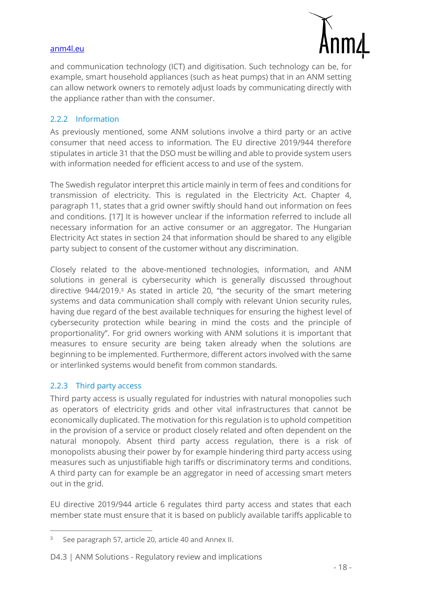

and communication technology (ICT) and digitisation. Such technology can be, for example, smart household appliances (such as heat pumps) that in an ANM setting can allow network owners to remotely adjust loads by communicating directly with the appliance rather than with the consumer.

#### <span id="page-17-0"></span>2.2.2 Information

As previously mentioned, some ANM solutions involve a third party or an active consumer that need access to information. The EU directive 2019/944 therefore stipulates in article 31 that the DSO must be willing and able to provide system users with information needed for efficient access to and use of the system.

The Swedish regulator interpret this article mainly in term of fees and conditions for transmission of electricity. This is regulated in the Electricity Act. Chapter 4, paragraph 11, states that a grid owner swiftly should hand out information on fees and conditions. [17] It is however unclear if the information referred to include all necessary information for an active consumer or an aggregator. The Hungarian Electricity Act states in section 24 that information should be shared to any eligible party subject to consent of the customer without any discrimination.

Closely related to the above-mentioned technologies, information, and ANM solutions in general is cybersecurity which is generally discussed throughout directive 944/2019.<sup>3</sup> As stated in article 20, "the security of the smart metering systems and data communication shall comply with relevant Union security rules, having due regard of the best available techniques for ensuring the highest level of cybersecurity protection while bearing in mind the costs and the principle of proportionality". For grid owners working with ANM solutions it is important that measures to ensure security are being taken already when the solutions are beginning to be implemented. Furthermore, different actors involved with the same or interlinked systems would benefit from common standards.

#### <span id="page-17-1"></span>2.2.3 Third party access

Third party access is usually regulated for industries with natural monopolies such as operators of electricity grids and other vital infrastructures that cannot be economically duplicated. The motivation for this regulation is to uphold competition in the provision of a service or product closely related and often dependent on the natural monopoly. Absent third party access regulation, there is a risk of monopolists abusing their power by for example hindering third party access using measures such as unjustifiable high tariffs or discriminatory terms and conditions. A third party can for example be an aggregator in need of accessing smart meters out in the grid.

EU directive 2019/944 article 6 regulates third party access and states that each member state must ensure that it is based on publicly available tariffs applicable to

<sup>3</sup> See paragraph 57, article 20, article 40 and Annex II.

D4.3 | ANM Solutions - Regulatory review and implications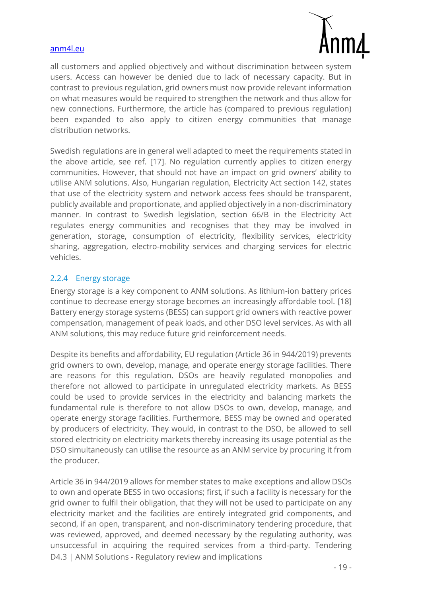

all customers and applied objectively and without discrimination between system users. Access can however be denied due to lack of necessary capacity. But in contrast to previous regulation, grid owners must now provide relevant information on what measures would be required to strengthen the network and thus allow for new connections. Furthermore, the article has (compared to previous regulation) been expanded to also apply to citizen energy communities that manage distribution networks.

Swedish regulations are in general well adapted to meet the requirements stated in the above article, see ref. [17]. No regulation currently applies to citizen energy communities. However, that should not have an impact on grid owners' ability to utilise ANM solutions. Also, Hungarian regulation, Electricity Act section 142, states that use of the electricity system and network access fees should be transparent, publicly available and proportionate, and applied objectively in a non-discriminatory manner. In contrast to Swedish legislation, section 66/B in the Electricity Act regulates energy communities and recognises that they may be involved in generation, storage, consumption of electricity, flexibility services, electricity sharing, aggregation, electro-mobility services and charging services for electric vehicles.

#### <span id="page-18-0"></span>2.2.4 Energy storage

Energy storage is a key component to ANM solutions. As lithium-ion battery prices continue to decrease energy storage becomes an increasingly affordable tool. [18] Battery energy storage systems (BESS) can support grid owners with reactive power compensation, management of peak loads, and other DSO level services. As with all ANM solutions, this may reduce future grid reinforcement needs.

Despite its benefits and affordability, EU regulation (Article 36 in 944/2019) prevents grid owners to own, develop, manage, and operate energy storage facilities. There are reasons for this regulation. DSOs are heavily regulated monopolies and therefore not allowed to participate in unregulated electricity markets. As BESS could be used to provide services in the electricity and balancing markets the fundamental rule is therefore to not allow DSOs to own, develop, manage, and operate energy storage facilities. Furthermore, BESS may be owned and operated by producers of electricity. They would, in contrast to the DSO, be allowed to sell stored electricity on electricity markets thereby increasing its usage potential as the DSO simultaneously can utilise the resource as an ANM service by procuring it from the producer.

D4.3 | ANM Solutions - Regulatory review and implications Article 36 in 944/2019 allows for member states to make exceptions and allow DSOs to own and operate BESS in two occasions; first, if such a facility is necessary for the grid owner to fulfil their obligation, that they will not be used to participate on any electricity market and the facilities are entirely integrated grid components, and second, if an open, transparent, and non-discriminatory tendering procedure, that was reviewed, approved, and deemed necessary by the regulating authority, was unsuccessful in acquiring the required services from a third-party. Tendering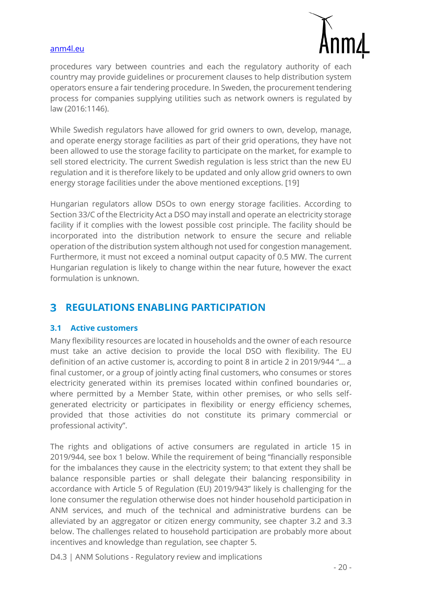

procedures vary between countries and each the regulatory authority of each country may provide guidelines or procurement clauses to help distribution system operators ensure a fair tendering procedure. In Sweden, the procurement tendering process for companies supplying utilities such as network owners is regulated by law (2016:1146).

While Swedish regulators have allowed for grid owners to own, develop, manage, and operate energy storage facilities as part of their grid operations, they have not been allowed to use the storage facility to participate on the market, for example to sell stored electricity. The current Swedish regulation is less strict than the new EU regulation and it is therefore likely to be updated and only allow grid owners to own energy storage facilities under the above mentioned exceptions. [19]

Hungarian regulators allow DSOs to own energy storage facilities. According to Section 33/C of the Electricity Act a DSO may install and operate an electricity storage facility if it complies with the lowest possible cost principle. The facility should be incorporated into the distribution network to ensure the secure and reliable operation of the distribution system although not used for congestion management. Furthermore, it must not exceed a nominal output capacity of 0.5 MW. The current Hungarian regulation is likely to change within the near future, however the exact formulation is unknown.

#### <span id="page-19-0"></span>**REGULATIONS ENABLING PARTICIPATION**  $\mathbf{R}$

#### <span id="page-19-1"></span>**3.1 Active customers**

Many flexibility resources are located in households and the owner of each resource must take an active decision to provide the local DSO with flexibility. The EU definition of an active customer is, according to point 8 in article 2 in 2019/944 "… a final customer, or a group of jointly acting final customers, who consumes or stores electricity generated within its premises located within confined boundaries or, where permitted by a Member State, within other premises, or who sells selfgenerated electricity or participates in flexibility or energy efficiency schemes, provided that those activities do not constitute its primary commercial or professional activity".

The rights and obligations of active consumers are regulated in article 15 in 2019/944, see box 1 below. While the requirement of being "financially responsible for the imbalances they cause in the electricity system; to that extent they shall be balance responsible parties or shall delegate their balancing responsibility in accordance with Article 5 of Regulation (EU) 2019/943" likely is challenging for the lone consumer the regulation otherwise does not hinder household participation in ANM services, and much of the technical and administrative burdens can be alleviated by an aggregator or citizen energy community, see chapter [3.2](#page-20-0) and [3.3](#page-21-0) below. The challenges related to household participation are probably more about incentives and knowledge than regulation, see chapter [5.](#page-27-0)

D4.3 | ANM Solutions - Regulatory review and implications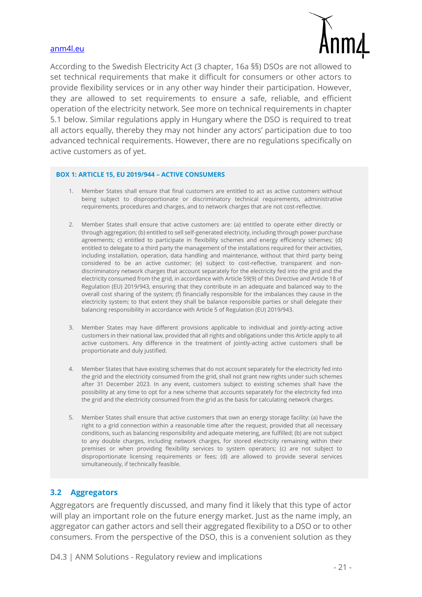

According to the Swedish Electricity Act (3 chapter, 16a §§) DSOs are not allowed to set technical requirements that make it difficult for consumers or other actors to provide flexibility services or in any other way hinder their participation. However, they are allowed to set requirements to ensure a safe, reliable, and efficient operation of the electricity network. See more on technical requirements in chapter [5.1 below.](#page-27-1) Similar regulations apply in Hungary where the DSO is required to treat all actors equally, thereby they may not hinder any actors' participation due to too advanced technical requirements. However, there are no regulations specifically on active customers as of yet.

#### **BOX 1: ARTICLE 15, EU 2019/944 – ACTIVE CONSUMERS**

- 1. Member States shall ensure that final customers are entitled to act as active customers without being subject to disproportionate or discriminatory technical requirements, administrative requirements, procedures and charges, and to network charges that are not cost-reflective.
- 2. Member States shall ensure that active customers are: (a) entitled to operate either directly or through aggregation; (b) entitled to sell self-generated electricity, including through power purchase agreements; c) entitled to participate in flexibility schemes and energy efficiency schemes; (d) entitled to delegate to a third party the management of the installations required for their activities, including installation, operation, data handling and maintenance, without that third party being considered to be an active customer; (e) subject to cost-reflective, transparent and nondiscriminatory network charges that account separately for the electricity fed into the grid and the electricity consumed from the grid, in accordance with Article 59(9) of this Directive and Article 18 of Regulation (EU) 2019/943, ensuring that they contribute in an adequate and balanced way to the overall cost sharing of the system; (f) financially responsible for the imbalances they cause in the electricity system; to that extent they shall be balance responsible parties or shall delegate their balancing responsibility in accordance with Article 5 of Regulation (EU) 2019/943.
- 3. Member States may have different provisions applicable to individual and jointly-acting active customers in their national law, provided that all rights and obligations under this Article apply to all active customers. Any difference in the treatment of jointly-acting active customers shall be proportionate and duly justified.
- 4. Member States that have existing schemes that do not account separately for the electricity fed into the grid and the electricity consumed from the grid, shall not grant new rights under such schemes after 31 December 2023. In any event, customers subject to existing schemes shall have the possibility at any time to opt for a new scheme that accounts separately for the electricity fed into the grid and the electricity consumed from the grid as the basis for calculating network charges.
- 5. Member States shall ensure that active customers that own an energy storage facility: (a) have the right to a grid connection within a reasonable time after the request, provided that all necessary conditions, such as balancing responsibility and adequate metering, are fulfilled; (b) are not subject to any double charges, including network charges, for stored electricity remaining within their premises or when providing flexibility services to system operators; (c) are not subject to disproportionate licensing requirements or fees; (d) are allowed to provide several services simultaneously, if technically feasible.

#### <span id="page-20-0"></span>**3.2 Aggregators**

Aggregators are frequently discussed, and many find it likely that this type of actor will play an important role on the future energy market. Just as the name imply, an aggregator can gather actors and sell their aggregated flexibility to a DSO or to other consumers. From the perspective of the DSO, this is a convenient solution as they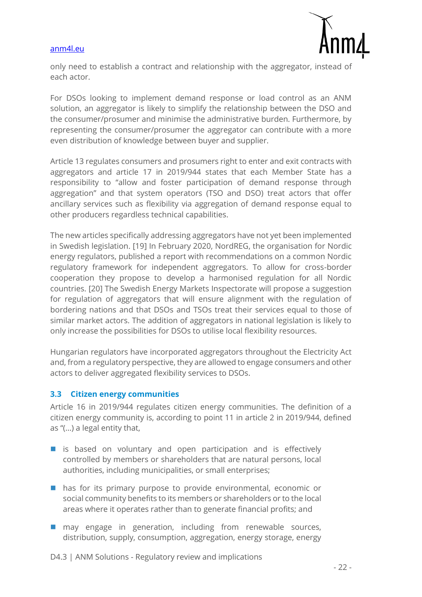

only need to establish a contract and relationship with the aggregator, instead of each actor.

For DSOs looking to implement demand response or load control as an ANM solution, an aggregator is likely to simplify the relationship between the DSO and the consumer/prosumer and minimise the administrative burden. Furthermore, by representing the consumer/prosumer the aggregator can contribute with a more even distribution of knowledge between buyer and supplier.

Article 13 regulates consumers and prosumers right to enter and exit contracts with aggregators and article 17 in 2019/944 states that each Member State has a responsibility to "allow and foster participation of demand response through aggregation" and that system operators (TSO and DSO) treat actors that offer ancillary services such as flexibility via aggregation of demand response equal to other producers regardless technical capabilities.

The new articles specifically addressing aggregators have not yet been implemented in Swedish legislation. [19] In February 2020, NordREG, the organisation for Nordic energy regulators, published a report with recommendations on a common Nordic regulatory framework for independent aggregators. To allow for cross-border cooperation they propose to develop a harmonised regulation for all Nordic countries. [20] The Swedish Energy Markets Inspectorate will propose a suggestion for regulation of aggregators that will ensure alignment with the regulation of bordering nations and that DSOs and TSOs treat their services equal to those of similar market actors. The addition of aggregators in national legislation is likely to only increase the possibilities for DSOs to utilise local flexibility resources.

Hungarian regulators have incorporated aggregators throughout the Electricity Act and, from a regulatory perspective, they are allowed to engage consumers and other actors to deliver aggregated flexibility services to DSOs.

#### <span id="page-21-0"></span>**3.3 Citizen energy communities**

Article 16 in 2019/944 regulates citizen energy communities. The definition of a citizen energy community is, according to point 11 in article 2 in 2019/944, defined as "(…) a legal entity that,

- is based on voluntary and open participation and is effectively controlled by members or shareholders that are natural persons, local authorities, including municipalities, or small enterprises;
- has for its primary purpose to provide environmental, economic or social community benefits to its members or shareholders or to the local areas where it operates rather than to generate financial profits; and
- may engage in generation, including from renewable sources, distribution, supply, consumption, aggregation, energy storage, energy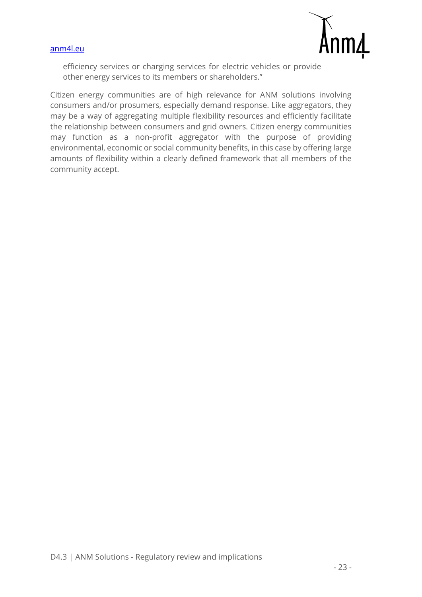



efficiency services or charging services for electric vehicles or provide other energy services to its members or shareholders."

Citizen energy communities are of high relevance for ANM solutions involving consumers and/or prosumers, especially demand response. Like aggregators, they may be a way of aggregating multiple flexibility resources and efficiently facilitate the relationship between consumers and grid owners. Citizen energy communities may function as a non-profit aggregator with the purpose of providing environmental, economic or social community benefits, in this case by offering large amounts of flexibility within a clearly defined framework that all members of the community accept.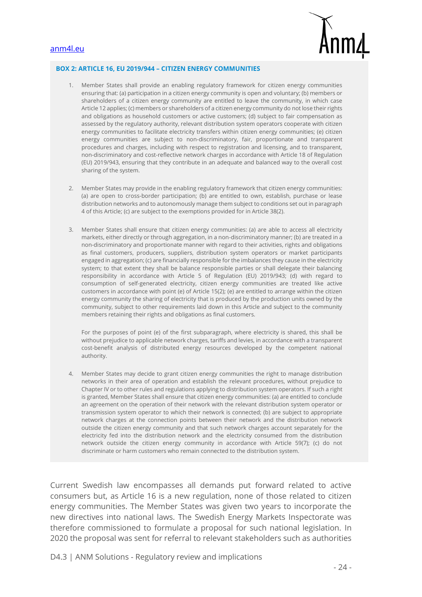

#### **BOX 2: ARTICLE 16, EU 2019/944 – CITIZEN ENERGY COMMUNITIES**

- 1. Member States shall provide an enabling regulatory framework for citizen energy communities ensuring that: (a) participation in a citizen energy community is open and voluntary; (b) members or shareholders of a citizen energy community are entitled to leave the community, in which case Article 12 applies; (c) members or shareholders of a citizen energy community do not lose their rights and obligations as household customers or active customers; (d) subject to fair compensation as assessed by the regulatory authority, relevant distribution system operators cooperate with citizen energy communities to facilitate electricity transfers within citizen energy communities; (e) citizen energy communities are subject to non-discriminatory, fair, proportionate and transparent procedures and charges, including with respect to registration and licensing, and to transparent, non-discriminatory and cost-reflective network charges in accordance with Article 18 of Regulation (EU) 2019/943, ensuring that they contribute in an adequate and balanced way to the overall cost sharing of the system.
- 2. Member States may provide in the enabling regulatory framework that citizen energy communities: (a) are open to cross-border participation; (b) are entitled to own, establish, purchase or lease distribution networks and to autonomously manage them subject to conditions set out in paragraph 4 of this Article; (c) are subject to the exemptions provided for in Article 38(2).
- 3. Member States shall ensure that citizen energy communities: (a) are able to access all electricity markets, either directly or through aggregation, in a non-discriminatory manner; (b) are treated in a non-discriminatory and proportionate manner with regard to their activities, rights and obligations as final customers, producers, suppliers, distribution system operators or market participants engaged in aggregation; (c) are financially responsible for the imbalances they cause in the electricity system; to that extent they shall be balance responsible parties or shall delegate their balancing responsibility in accordance with Article 5 of Regulation (EU) 2019/943; (d) with regard to consumption of self-generated electricity, citizen energy communities are treated like active customers in accordance with point (e) of Article 15(2); (e) are entitled to arrange within the citizen energy community the sharing of electricity that is produced by the production units owned by the community, subject to other requirements laid down in this Article and subject to the community members retaining their rights and obligations as final customers.

For the purposes of point (e) of the first subparagraph, where electricity is shared, this shall be without prejudice to applicable network charges, tariffs and levies, in accordance with a transparent cost-benefit analysis of distributed energy resources developed by the competent national authority.

4. Member States may decide to grant citizen energy communities the right to manage distribution networks in their area of operation and establish the relevant procedures, without prejudice to Chapter IV or to other rules and regulations applying to distribution system operators. If such a right is granted, Member States shall ensure that citizen energy communities: (a) are entitled to conclude an agreement on the operation of their network with the relevant distribution system operator or transmission system operator to which their network is connected; (b) are subject to appropriate network charges at the connection points between their network and the distribution network outside the citizen energy community and that such network charges account separately for the electricity fed into the distribution network and the electricity consumed from the distribution network outside the citizen energy community in accordance with Article 59(7); (c) do not discriminate or harm customers who remain connected to the distribution system.

Current Swedish law encompasses all demands put forward related to active consumers but, as Article 16 is a new regulation, none of those related to citizen energy communities. The Member States was given two years to incorporate the new directives into national laws. The Swedish Energy Markets Inspectorate was therefore commissioned to formulate a proposal for such national legislation. In 2020 the proposal was sent for referral to relevant stakeholders such as authorities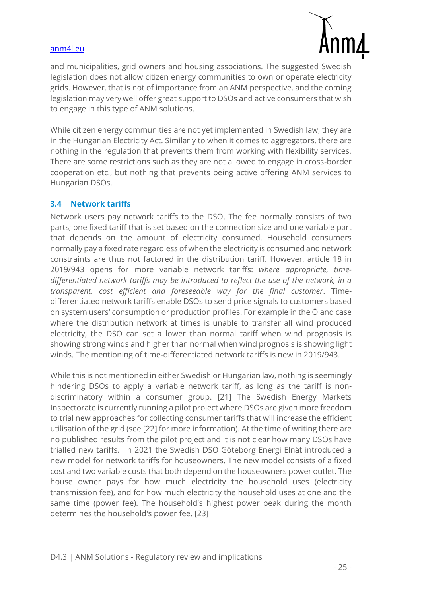

and municipalities, grid owners and housing associations. The suggested Swedish legislation does not allow citizen energy communities to own or operate electricity grids. However, that is not of importance from an ANM perspective, and the coming legislation may very well offer great support to DSOs and active consumers that wish to engage in this type of ANM solutions.

While citizen energy communities are not yet implemented in Swedish law, they are in the Hungarian Electricity Act. Similarly to when it comes to aggregators, there are nothing in the regulation that prevents them from working with flexibility services. There are some restrictions such as they are not allowed to engage in cross-border cooperation etc., but nothing that prevents being active offering ANM services to Hungarian DSOs.

#### <span id="page-24-0"></span>**3.4 Network tariffs**

Network users pay network tariffs to the DSO. The fee normally consists of two parts; one fixed tariff that is set based on the connection size and one variable part that depends on the amount of electricity consumed. Household consumers normally pay a fixed rate regardless of when the electricity is consumed and network constraints are thus not factored in the distribution tariff. However, article 18 in 2019/943 opens for more variable network tariffs: *where appropriate, timedifferentiated network tariffs may be introduced to reflect the use of the network, in a transparent, cost efficient and foreseeable way for the final customer*. Timedifferentiated network tariffs enable DSOs to send price signals to customers based on system users' consumption or production profiles. For example in the Öland case where the distribution network at times is unable to transfer all wind produced electricity, the DSO can set a lower than normal tariff when wind prognosis is showing strong winds and higher than normal when wind prognosis is showing light winds. The mentioning of time-differentiated network tariffs is new in 2019/943.

While this is not mentioned in either Swedish or Hungarian law, nothing is seemingly hindering DSOs to apply a variable network tariff, as long as the tariff is nondiscriminatory within a consumer group. [21] The Swedish Energy Markets Inspectorate is currently running a pilot project where DSOs are given more freedom to trial new approaches for collecting consumer tariffs that will increase the efficient utilisation of the grid (see [22] for more information). At the time of writing there are no published results from the pilot project and it is not clear how many DSOs have trialled new tariffs. In 2021 the Swedish DSO Göteborg Energi Elnät introduced a new model for network tariffs for houseowners. The new model consists of a fixed cost and two variable costs that both depend on the houseowners power outlet. The house owner pays for how much electricity the household uses (electricity transmission fee), and for how much electricity the household uses at one and the same time (power fee). The household's highest power peak during the month determines the household's power fee. [23]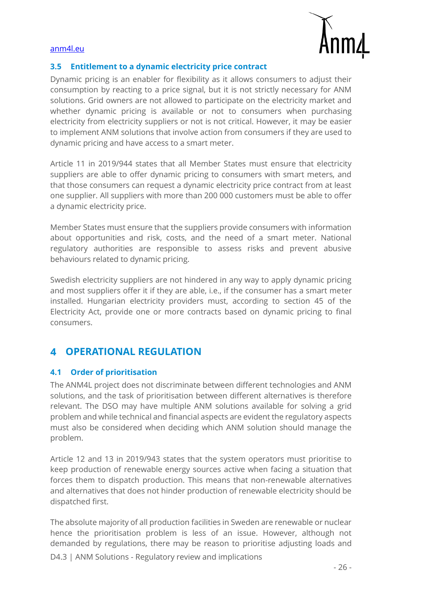

#### <span id="page-25-0"></span>**3.5 Entitlement to a dynamic electricity price contract**

Dynamic pricing is an enabler for flexibility as it allows consumers to adjust their consumption by reacting to a price signal, but it is not strictly necessary for ANM solutions. Grid owners are not allowed to participate on the electricity market and whether dynamic pricing is available or not to consumers when purchasing electricity from electricity suppliers or not is not critical. However, it may be easier to implement ANM solutions that involve action from consumers if they are used to dynamic pricing and have access to a smart meter.

Article 11 in 2019/944 states that all Member States must ensure that electricity suppliers are able to offer dynamic pricing to consumers with smart meters, and that those consumers can request a dynamic electricity price contract from at least one supplier. All suppliers with more than 200 000 customers must be able to offer a dynamic electricity price.

Member States must ensure that the suppliers provide consumers with information about opportunities and risk, costs, and the need of a smart meter. National regulatory authorities are responsible to assess risks and prevent abusive behaviours related to dynamic pricing.

Swedish electricity suppliers are not hindered in any way to apply dynamic pricing and most suppliers offer it if they are able, i.e., if the consumer has a smart meter installed. Hungarian electricity providers must, according to section 45 of the Electricity Act, provide one or more contracts based on dynamic pricing to final consumers.

#### <span id="page-25-1"></span>**OPERATIONAL REGULATION**  $\blacktriangle$

#### <span id="page-25-2"></span>**4.1 Order of prioritisation**

The ANM4L project does not discriminate between different technologies and ANM solutions, and the task of prioritisation between different alternatives is therefore relevant. The DSO may have multiple ANM solutions available for solving a grid problem and while technical and financial aspects are evident the regulatory aspects must also be considered when deciding which ANM solution should manage the problem.

Article 12 and 13 in 2019/943 states that the system operators must prioritise to keep production of renewable energy sources active when facing a situation that forces them to dispatch production. This means that non-renewable alternatives and alternatives that does not hinder production of renewable electricity should be dispatched first.

The absolute majority of all production facilities in Sweden are renewable or nuclear hence the prioritisation problem is less of an issue. However, although not demanded by regulations, there may be reason to prioritise adjusting loads and

D4.3 | ANM Solutions - Regulatory review and implications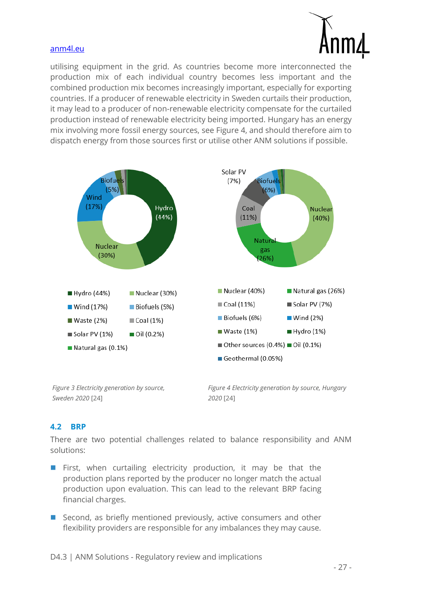

utilising equipment in the grid. As countries become more interconnected the production mix of each individual country becomes less important and the combined production mix becomes increasingly important, especially for exporting countries. If a producer of renewable electricity in Sweden curtails their production, it may lead to a producer of non-renewable electricity compensate for the curtailed production instead of renewable electricity being imported. Hungary has an energy mix involving more fossil energy sources, see [Figure 4,](#page-26-1) and should therefore aim to dispatch energy from those sources first or utilise other ANM solutions if possible.



*Figure 3 Electricity generation by source, Sweden 2020* [24]

<span id="page-26-1"></span>*Figure 4 Electricity generation by source, Hungary 2020* [24]

#### <span id="page-26-0"></span>**4.2 BRP**

There are two potential challenges related to balance responsibility and ANM solutions:

- First, when curtailing electricity production, it may be that the production plans reported by the producer no longer match the actual production upon evaluation. This can lead to the relevant BRP facing financial charges.
- Second, as briefly mentioned previously, active consumers and other flexibility providers are responsible for any imbalances they may cause.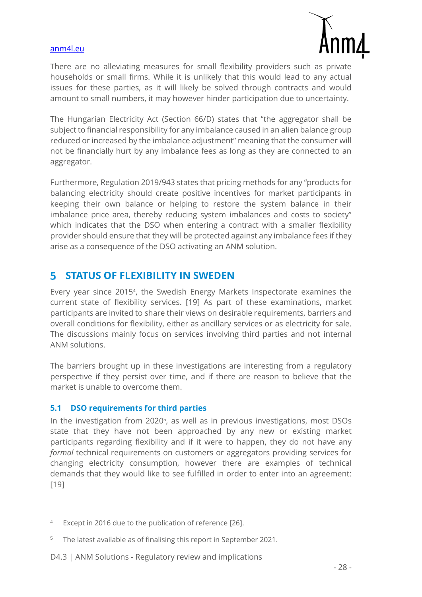

There are no alleviating measures for small flexibility providers such as private households or small firms. While it is unlikely that this would lead to any actual issues for these parties, as it will likely be solved through contracts and would amount to small numbers, it may however hinder participation due to uncertainty.

The Hungarian Electricity Act (Section 66/D) states that "the aggregator shall be subject to financial responsibility for any imbalance caused in an alien balance group reduced or increased by the imbalance adjustment" meaning that the consumer will not be financially hurt by any imbalance fees as long as they are connected to an aggregator.

Furthermore, Regulation 2019/943 states that pricing methods for any "products for balancing electricity should create positive incentives for market participants in keeping their own balance or helping to restore the system balance in their imbalance price area, thereby reducing system imbalances and costs to society" which indicates that the DSO when entering a contract with a smaller flexibility provider should ensure that they will be protected against any imbalance fees if they arise as a consequence of the DSO activating an ANM solution.

#### <span id="page-27-0"></span>**STATUS OF FLEXIBILITY IN SWEDEN** 5

Every year since 2015<sup>4</sup> , the Swedish Energy Markets Inspectorate examines the current state of flexibility services. [19] As part of these examinations, market participants are invited to share their views on desirable requirements, barriers and overall conditions for flexibility, either as ancillary services or as electricity for sale. The discussions mainly focus on services involving third parties and not internal ANM solutions.

The barriers brought up in these investigations are interesting from a regulatory perspective if they persist over time, and if there are reason to believe that the market is unable to overcome them.

#### <span id="page-27-1"></span>**5.1 DSO requirements for third parties**

In the investigation from 2020<sup>5</sup> , as well as in previous investigations, most DSOs state that they have not been approached by any new or existing market participants regarding flexibility and if it were to happen, they do not have any *formal* technical requirements on customers or aggregators providing services for changing electricity consumption, however there are examples of technical demands that they would like to see fulfilled in order to enter into an agreement: [19]

Except in 2016 due to the publication of reference [26].

<sup>5</sup> The latest available as of finalising this report in September 2021.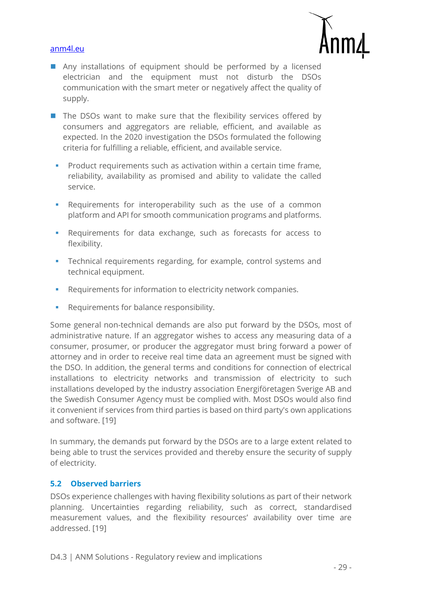

- Any installations of equipment should be performed by a licensed electrician and the equipment must not disturb the DSOs communication with the smart meter or negatively affect the quality of supply.
- The DSOs want to make sure that the flexibility services offered by consumers and aggregators are reliable, efficient, and available as expected. In the 2020 investigation the DSOs formulated the following criteria for fulfilling a reliable, efficient, and available service.
	- Product requirements such as activation within a certain time frame, reliability, availability as promised and ability to validate the called service.
	- Requirements for interoperability such as the use of a common platform and API for smooth communication programs and platforms.
	- Requirements for data exchange, such as forecasts for access to flexibility.
	- **•** Technical requirements regarding, for example, control systems and technical equipment.
	- Requirements for information to electricity network companies.
	- Requirements for balance responsibility.

Some general non-technical demands are also put forward by the DSOs, most of administrative nature. If an aggregator wishes to access any measuring data of a consumer, prosumer, or producer the aggregator must bring forward a power of attorney and in order to receive real time data an agreement must be signed with the DSO. In addition, the general terms and conditions for connection of electrical installations to electricity networks and transmission of electricity to such installations developed by the industry association Energiföretagen Sverige AB and the Swedish Consumer Agency must be complied with. Most DSOs would also find it convenient if services from third parties is based on third party's own applications and software. [19]

In summary, the demands put forward by the DSOs are to a large extent related to being able to trust the services provided and thereby ensure the security of supply of electricity.

#### <span id="page-28-0"></span>**5.2 Observed barriers**

DSOs experience challenges with having flexibility solutions as part of their network planning. Uncertainties regarding reliability, such as correct, standardised measurement values, and the flexibility resources' availability over time are addressed. [19]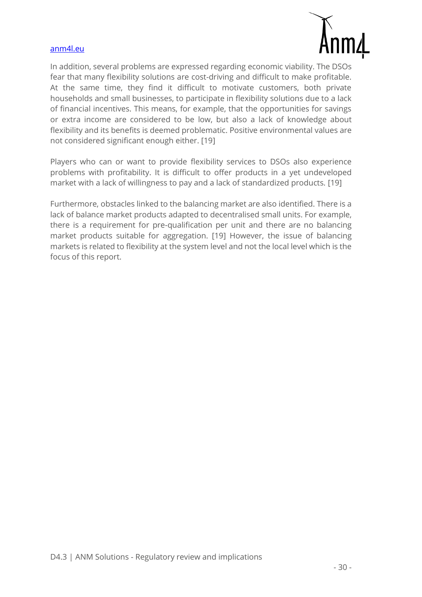

In addition, several problems are expressed regarding economic viability. The DSOs fear that many flexibility solutions are cost-driving and difficult to make profitable. At the same time, they find it difficult to motivate customers, both private households and small businesses, to participate in flexibility solutions due to a lack of financial incentives. This means, for example, that the opportunities for savings or extra income are considered to be low, but also a lack of knowledge about flexibility and its benefits is deemed problematic. Positive environmental values are not considered significant enough either. [19]

Players who can or want to provide flexibility services to DSOs also experience problems with profitability. It is difficult to offer products in a yet undeveloped market with a lack of willingness to pay and a lack of standardized products. [19]

Furthermore, obstacles linked to the balancing market are also identified. There is a lack of balance market products adapted to decentralised small units. For example, there is a requirement for pre-qualification per unit and there are no balancing market products suitable for aggregation. [19] However, the issue of balancing markets is related to flexibility at the system level and not the local level which is the focus of this report.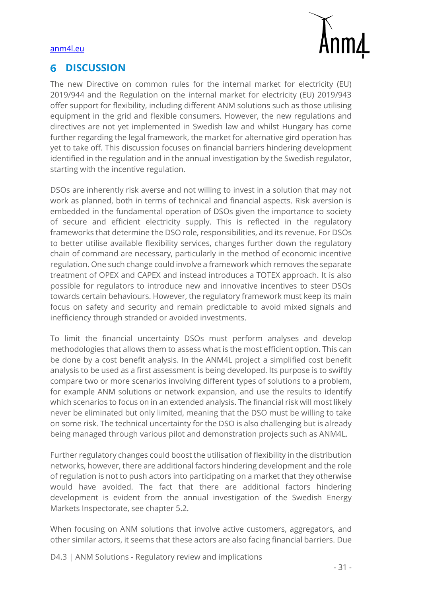

#### <span id="page-30-0"></span>**DISCUSSION** 6

The new Directive on common rules for the internal market for electricity (EU) 2019/944 and the Regulation on the internal market for electricity (EU) 2019/943 offer support for flexibility, including different ANM solutions such as those utilising equipment in the grid and flexible consumers. However, the new regulations and directives are not yet implemented in Swedish law and whilst Hungary has come further regarding the legal framework, the market for alternative gird operation has yet to take off. This discussion focuses on financial barriers hindering development identified in the regulation and in the annual investigation by the Swedish regulator, starting with the incentive regulation.

DSOs are inherently risk averse and not willing to invest in a solution that may not work as planned, both in terms of technical and financial aspects. Risk aversion is embedded in the fundamental operation of DSOs given the importance to society of secure and efficient electricity supply. This is reflected in the regulatory frameworks that determine the DSO role, responsibilities, and its revenue. For DSOs to better utilise available flexibility services, changes further down the regulatory chain of command are necessary, particularly in the method of economic incentive regulation. One such change could involve a framework which removes the separate treatment of OPEX and CAPEX and instead introduces a TOTEX approach. It is also possible for regulators to introduce new and innovative incentives to steer DSOs towards certain behaviours. However, the regulatory framework must keep its main focus on safety and security and remain predictable to avoid mixed signals and inefficiency through stranded or avoided investments.

To limit the financial uncertainty DSOs must perform analyses and develop methodologies that allows them to assess what is the most efficient option. This can be done by a cost benefit analysis. In the ANM4L project a simplified cost benefit analysis to be used as a first assessment is being developed. Its purpose is to swiftly compare two or more scenarios involving different types of solutions to a problem, for example ANM solutions or network expansion, and use the results to identify which scenarios to focus on in an extended analysis. The financial risk will most likely never be eliminated but only limited, meaning that the DSO must be willing to take on some risk. The technical uncertainty for the DSO is also challenging but is already being managed through various pilot and demonstration projects such as ANM4L.

Further regulatory changes could boost the utilisation of flexibility in the distribution networks, however, there are additional factors hindering development and the role of regulation is not to push actors into participating on a market that they otherwise would have avoided. The fact that there are additional factors hindering development is evident from the annual investigation of the Swedish Energy Markets Inspectorate, see chapter [5.2.](#page-28-0)

When focusing on ANM solutions that involve active customers, aggregators, and other similar actors, it seems that these actors are also facing financial barriers. Due

D4.3 | ANM Solutions - Regulatory review and implications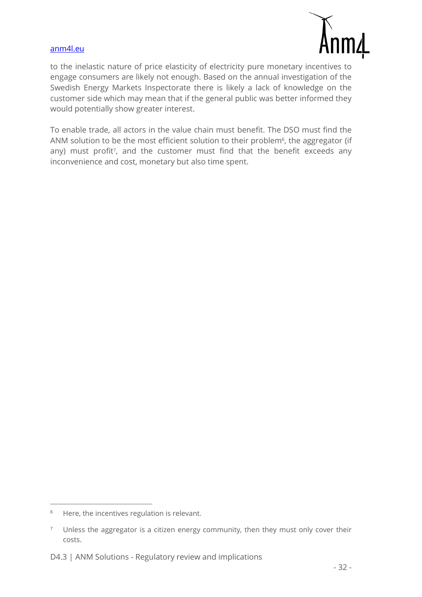

to the inelastic nature of price elasticity of electricity pure monetary incentives to engage consumers are likely not enough. Based on the annual investigation of the Swedish Energy Markets Inspectorate there is likely a lack of knowledge on the customer side which may mean that if the general public was better informed they would potentially show greater interest.

To enable trade, all actors in the value chain must benefit. The DSO must find the ANM solution to be the most efficient solution to their problem<sup>6</sup>, the aggregator (if any) must profit<sup>7</sup>, and the customer must find that the benefit exceeds any inconvenience and cost, monetary but also time spent.

<sup>&</sup>lt;sup>6</sup> Here, the incentives regulation is relevant.

<sup>&</sup>lt;sup>7</sup> Unless the aggregator is a citizen energy community, then they must only cover their costs.

D4.3 | ANM Solutions - Regulatory review and implications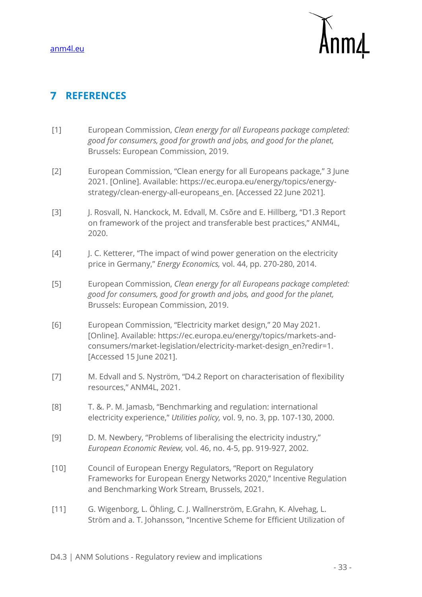

# <span id="page-32-0"></span>**REFERENCES**

- [1] European Commission, *Clean energy for all Europeans package completed: good for consumers, good for growth and jobs, and good for the planet,*  Brussels: European Commission, 2019.
- [2] European Commission, "Clean energy for all Europeans package," 3 June 2021. [Online]. Available: https://ec.europa.eu/energy/topics/energystrategy/clean-energy-all-europeans\_en. [Accessed 22 June 2021].
- [3] J. Rosvall, N. Hanckock, M. Edvall, M. Csõre and E. Hillberg, "D1.3 Report on framework of the project and transferable best practices," ANM4L, 2020.
- [4] J. C. Ketterer, "The impact of wind power generation on the electricity price in Germany," *Energy Economics,* vol. 44, pp. 270-280, 2014.
- [5] European Commission, *Clean energy for all Europeans package completed: good for consumers, good for growth and jobs, and good for the planet,*  Brussels: European Commission, 2019.
- [6] European Commission, "Electricity market design," 20 May 2021. [Online]. Available: https://ec.europa.eu/energy/topics/markets-andconsumers/market-legislation/electricity-market-design\_en?redir=1. [Accessed 15 June 2021].
- [7] M. Edvall and S. Nyström, "D4.2 Report on characterisation of flexibility resources," ANM4L, 2021.
- [8] T. &. P. M. Jamasb, "Benchmarking and regulation: international electricity experience," *Utilities policy,* vol. 9, no. 3, pp. 107-130, 2000.
- [9] D. M. Newbery, "Problems of liberalising the electricity industry," *European Economic Review,* vol. 46, no. 4-5, pp. 919-927, 2002.
- [10] Council of European Energy Regulators, "Report on Regulatory Frameworks for European Energy Networks 2020," Incentive Regulation and Benchmarking Work Stream, Brussels, 2021.
- [11] G. Wigenborg, L. Öhling, C. J. Wallnerström, E.Grahn, K. Alvehag, L. Ström and a. T. Johansson, "Incentive Scheme for Efficient Utilization of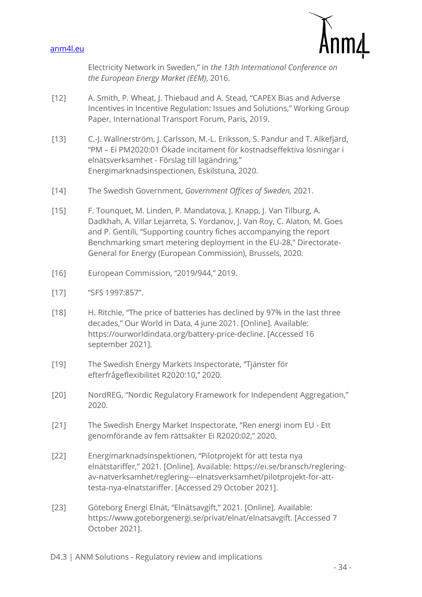

Electricity Network in Sweden," in *the 13th International Conference on the European Energy Market (EEM)*, 2016.

- [12] A. Smith, P. Wheat, J. Thiebaud and A. Stead, "CAPEX Bias and Adverse Incentives in Incentive Regulation: Issues and Solutions," Working Group Paper, International Transport Forum, Paris, 2019.
- [13] C.-J. Wallnerström, J. Carlsson, M.-L. Eriksson, S. Pandur and T. Alkefjärd, "PM – Ei PM2020:01 Ökade incitament för kostnadseffektiva lösningar i elnätsverksamhet - Förslag till lagändring," Energimarknadsinspectionen, Eskilstuna, 2020.
- [14] The Swedish Government, *Government Offices of Sweden,* 2021.
- [15] F. Tounquet, M. Linden, P. Mandatova, J. Knapp, J. Van Tilburg, A. Dadkhah, A. Villar Lejarreta, S. Yordanov, J. Van Roy, C. Alaton, M. Goes and P. Gentili, "Supporting country fiches accompanying the report Benchmarking smart metering deployment in the EU-28," Directorate-General for Energy (European Commission), Brussels, 2020.
- [16] European Commission, "2019/944," 2019.
- [17] "SFS 1997:857".
- [18] H. Ritchie, "The price of batteries has declined by 97% in the last three decades," Our World in Data, 4 june 2021. [Online]. Available: https://ourworldindata.org/battery-price-decline. [Accessed 16 september 2021].
- [19] The Swedish Energy Markets Inspectorate, "Tjänster för efterfrågeflexibilitet R2020:10," 2020.
- [20] NordREG, "Nordic Regulatory Framework for Independent Aggregation," 2020.
- [21] The Swedish Energy Market Inspectorate, "Ren energi inom EU Ett genomförande av fem rättsakter Ei R2020:02," 2020.
- [22] Energimarknadsinspektionen, "Pilotprojekt för att testa nya elnätstariffer," 2021. [Online]. Available: https://ei.se/bransch/regleringav-natverksamhet/reglering---elnatsverksamhet/pilotprojekt-for-atttesta-nya-elnatstariffer. [Accessed 29 October 2021].
- [23] Göteborg Energi Elnät, "Elnätsavgift," 2021. [Online]. Available: https://www.goteborgenergi.se/privat/elnat/elnatsavgift. [Accessed 7 October 2021].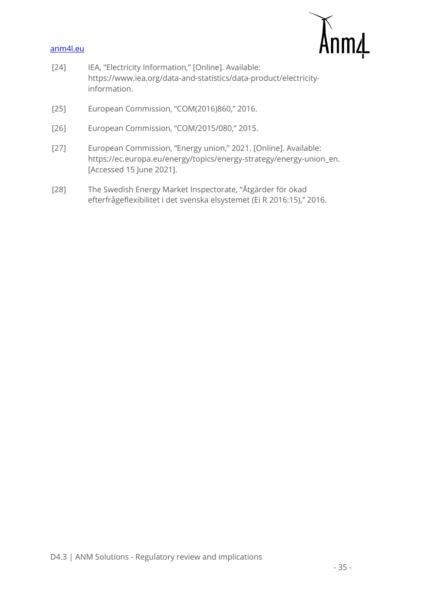

- [24] IEA, "Electricity Information," [Online]. Available: https://www.iea.org/data-and-statistics/data-product/electricityinformation.
- [25] European Commission, "COM(2016)860," 2016.
- [26] European Commission, "COM/2015/080," 2015.
- [27] European Commission, "Energy union," 2021. [Online]. Available: https://ec.europa.eu/energy/topics/energy-strategy/energy-union\_en. [Accessed 15 June 2021].
- [28] The Swedish Energy Market Inspectorate, "Åtgärder för ökad efterfrågeflexibilitet i det svenska elsystemet (Ei R 2016:15)," 2016.